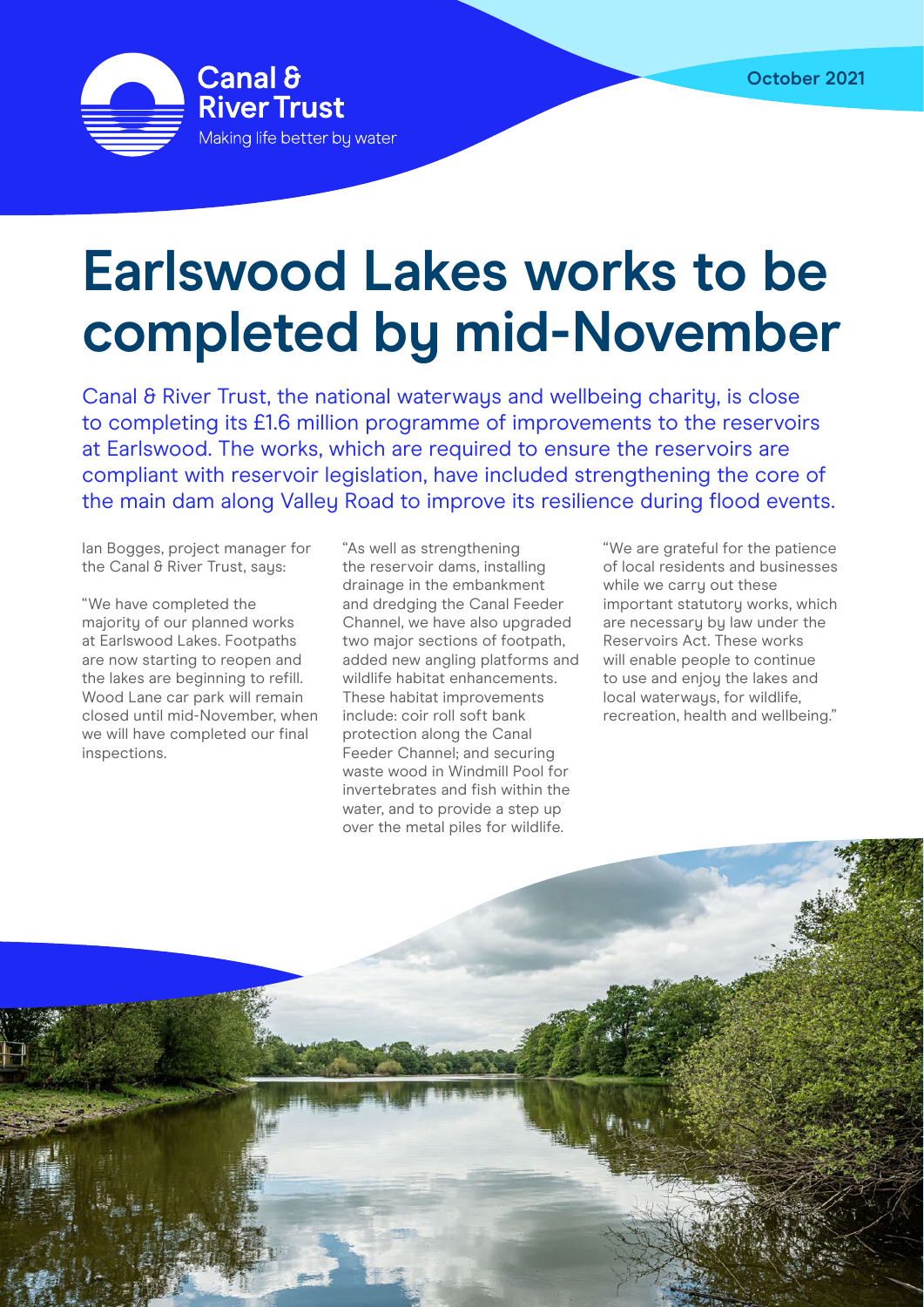

## **Earlswood Lakes works to be completed by mid-November**

Canal & River Trust, the national waterways and wellbeing charity, is close to completing its £1.6 million programme of improvements to the reservoirs at Earlswood. The works, which are required to ensure the reservoirs are compliant with reservoir legislation, have included strengthening the core of the main dam along Valley Road to improve its resilience during flood events.

Ian Bogges, project manager for the Canal & River Trust, saus:

"We have completed the majority of our planned works at Earlswood Lakes. Footpaths are now starting to reopen and the lakes are beginning to refill. Wood Lane car park will remain closed until mid-November, when we will have completed our final inspections.

"As well as strengthening the reservoir dams, installing drainage in the embankment and dredging the Canal Feeder Channel, we have also upgraded two major sections of footpath, added new angling platforms and wildlife habitat enhancements. These habitat improvements include: coir roll soft bank protection along the Canal Feeder Channel; and securing waste wood in Windmill Pool for invertebrates and fish within the water, and to provide a step up over the metal piles for wildlife.

"We are grateful for the patience of local residents and businesses while we carry out these important statutory works, which are necessary by law under the Reservoirs Act. These works will enable people to continue to use and enjoy the lakes and local waterways, for wildlife, recreation, health and wellbeing."